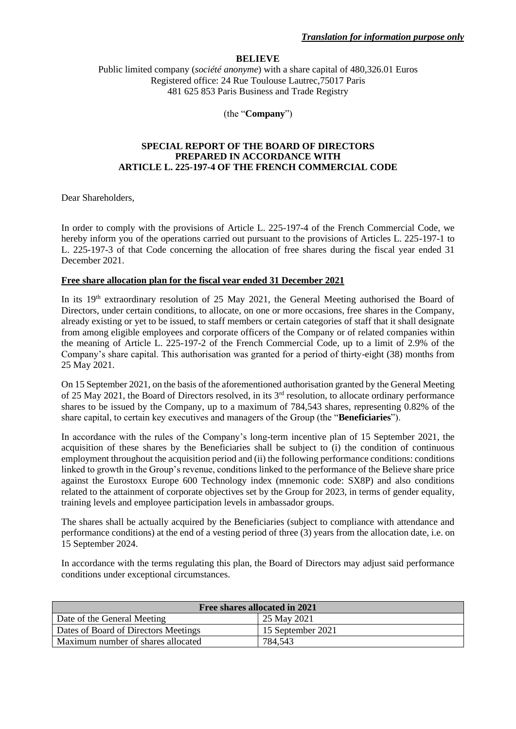## **BELIEVE**

Public limited company (*société anonyme*) with a share capital of 480,326.01 Euros Registered office: 24 Rue Toulouse Lautrec,75017 Paris 481 625 853 Paris Business and Trade Registry

(the "**Company**")

## **SPECIAL REPORT OF THE BOARD OF DIRECTORS PREPARED IN ACCORDANCE WITH ARTICLE L. 225-197-4 OF THE FRENCH COMMERCIAL CODE**

Dear Shareholders,

In order to comply with the provisions of Article L. 225-197-4 of the French Commercial Code, we hereby inform you of the operations carried out pursuant to the provisions of Articles L. 225-197-1 to L. 225-197-3 of that Code concerning the allocation of free shares during the fiscal year ended 31 December 2021.

## **Free share allocation plan for the fiscal year ended 31 December 2021**

In its 19<sup>th</sup> extraordinary resolution of 25 May 2021, the General Meeting authorised the Board of Directors, under certain conditions, to allocate, on one or more occasions, free shares in the Company, already existing or yet to be issued, to staff members or certain categories of staff that it shall designate from among eligible employees and corporate officers of the Company or of related companies within the meaning of Article L. 225-197-2 of the French Commercial Code, up to a limit of 2.9% of the Company's share capital. This authorisation was granted for a period of thirty-eight (38) months from 25 May 2021.

On 15 September 2021, on the basis of the aforementioned authorisation granted by the General Meeting of 25 May 2021, the Board of Directors resolved, in its 3rd resolution, to allocate ordinary performance shares to be issued by the Company, up to a maximum of 784,543 shares, representing 0.82% of the share capital, to certain key executives and managers of the Group (the "**Beneficiaries**").

In accordance with the rules of the Company's long-term incentive plan of 15 September 2021, the acquisition of these shares by the Beneficiaries shall be subject to (i) the condition of continuous employment throughout the acquisition period and (ii) the following performance conditions: conditions linked to growth in the Group's revenue, conditions linked to the performance of the Believe share price against the Eurostoxx Europe 600 Technology index (mnemonic code: SX8P) and also conditions related to the attainment of corporate objectives set by the Group for 2023, in terms of gender equality, training levels and employee participation levels in ambassador groups.

The shares shall be actually acquired by the Beneficiaries (subject to compliance with attendance and performance conditions) at the end of a vesting period of three (3) years from the allocation date, i.e. on 15 September 2024.

In accordance with the terms regulating this plan, the Board of Directors may adjust said performance conditions under exceptional circumstances.

| Free shares allocated in 2021        |                   |  |
|--------------------------------------|-------------------|--|
| Date of the General Meeting          | 25 May 2021       |  |
| Dates of Board of Directors Meetings | 15 September 2021 |  |
| Maximum number of shares allocated   | 784,543           |  |